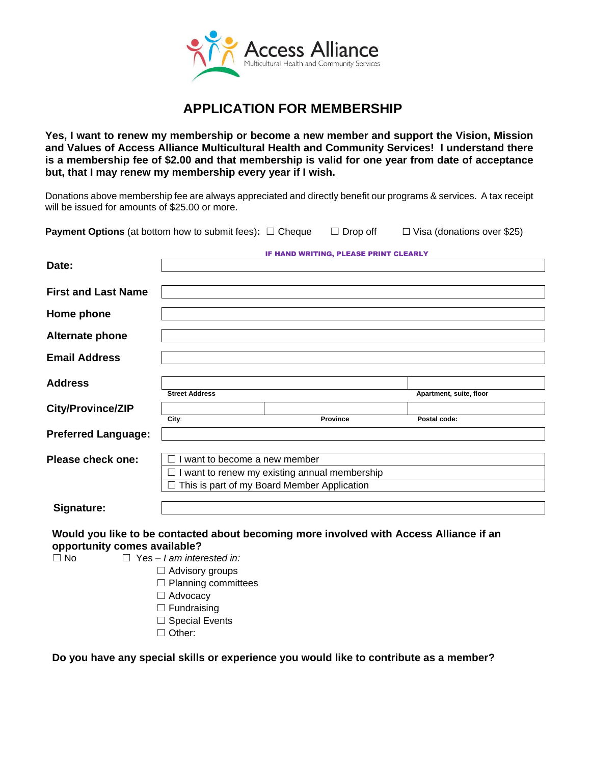

# **APPLICATION FOR MEMBERSHIP**

**Yes, I want to renew my membership or become a new member and support the Vision, Mission and Values of Access Alliance Multicultural Health and Community Services! I understand there is a membership fee of \$2.00 and that membership is valid for one year from date of acceptance but, that I may renew my membership every year if I wish.**

Donations above membership fee are always appreciated and directly benefit our programs & services. A tax receipt will be issued for amounts of \$25.00 or more.

**Payment Options** (at bottom how to submit fees):  $□$  Cheque  $□$  Drop off  $□$  Visa (donations over \$25)

|                            | IF HAND WRITING, PLEASE PRINT CLEARLY       |                                               |                         |
|----------------------------|---------------------------------------------|-----------------------------------------------|-------------------------|
| Date:                      |                                             |                                               |                         |
|                            |                                             |                                               |                         |
| <b>First and Last Name</b> |                                             |                                               |                         |
| Home phone                 |                                             |                                               |                         |
| <b>Alternate phone</b>     |                                             |                                               |                         |
| <b>Email Address</b>       |                                             |                                               |                         |
| <b>Address</b>             | <b>Street Address</b>                       |                                               | Apartment, suite, floor |
|                            |                                             |                                               |                         |
| City/Province/ZIP          | City:                                       | <b>Province</b>                               | Postal code:            |
| <b>Preferred Language:</b> |                                             |                                               |                         |
| Please check one:          | want to become a new member                 |                                               |                         |
|                            |                                             | I want to renew my existing annual membership |                         |
|                            | This is part of my Board Member Application |                                               |                         |
| Signature:                 |                                             |                                               |                         |

# **Would you like to be contacted about becoming more involved with Access Alliance if an opportunity comes available?**

☐ No ☐ Yes – *I am interested in:*

- ☐ Advisory groups
- ☐ Planning committees
- □ Advocacv
- □ Fundraising
- □ Special Events
- ☐ Other:

**Do you have any special skills or experience you would like to contribute as a member?**